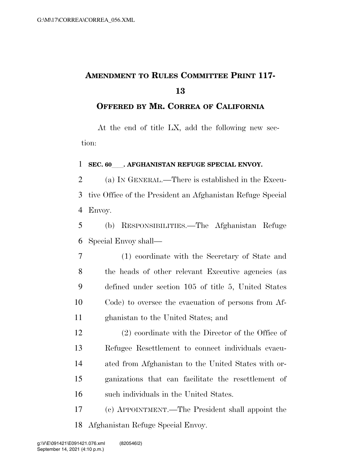## **AMENDMENT TO RULES COMMITTEE PRINT 117-**

## **OFFERED BY MR. CORREA OF CALIFORNIA**

At the end of title LX, add the following new section:

## **SEC. 60** . AFGHANISTAN REFUGE SPECIAL ENVOY.

 (a) IN GENERAL.—There is established in the Execu- tive Office of the President an Afghanistan Refuge Special Envoy.

 (b) RESPONSIBILITIES.—The Afghanistan Refuge Special Envoy shall—

 (1) coordinate with the Secretary of State and the heads of other relevant Executive agencies (as defined under section 105 of title 5, United States Code) to oversee the evacuation of persons from Af-ghanistan to the United States; and

 (2) coordinate with the Director of the Office of Refugee Resettlement to connect individuals evacu- ated from Afghanistan to the United States with or- ganizations that can facilitate the resettlement of such individuals in the United States.

 (c) APPOINTMENT.—The President shall appoint the Afghanistan Refuge Special Envoy.